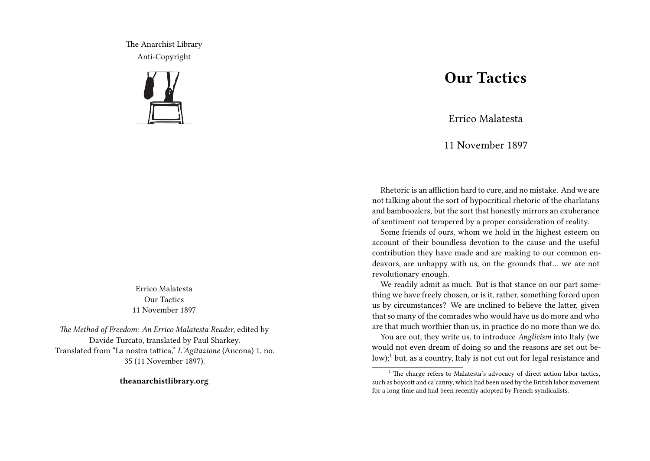The Anarchist Library Anti-Copyright



Errico Malatesta Our Tactics 11 November 1897

*The Method of Freedom: An Errico Malatesta Reader*, edited by Davide Turcato, translated by Paul Sharkey. Translated from "La nostra tattica," *L'Agitazione* (Ancona) 1, no. 35 (11 November 1897).

**theanarchistlibrary.org**

## **Our Tactics**

Errico Malatesta

11 November 1897

Rhetoric is an affliction hard to cure, and no mistake. And we are not talking about the sort of hypocritical rhetoric of the charlatans and bamboozlers, but the sort that honestly mirrors an exuberance of sentiment not tempered by a proper consideration of reality.

Some friends of ours, whom we hold in the highest esteem on account of their boundless devotion to the cause and the useful contribution they have made and are making to our common endeavors, are unhappy with us, on the grounds that… we are not revolutionary enough.

We readily admit as much. But is that stance on our part something we have freely chosen, or is it, rather, something forced upon us by circumstances? We are inclined to believe the latter, given that so many of the comrades who would have us do more and who are that much worthier than us, in practice do no more than we do.

You are out, they write us, to introduce *Anglicism* into Italy (we would not even dream of doing so and the reasons are set out below);<sup>1</sup> but, as a country, Italy is not cut out for legal resistance and

<sup>&</sup>lt;sup>1</sup> The charge refers to Malatesta's advocacy of direct action labor tactics, such as boycott and ca'canny, which had been used by the British labor movement for a long time and had been recently adopted by French syndicalists.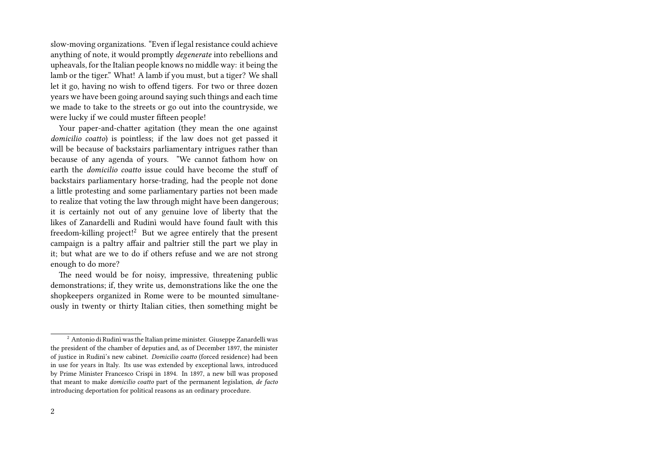slow-moving organizations. "Even if legal resistance could achieve anything of note, it would promptly *degenerate* into rebellions and upheavals, for the Italian people knows no middle way: it being the lamb or the tiger." What! A lamb if you must, but a tiger? We shall let it go, having no wish to offend tigers. For two or three dozen years we have been going around saying such things and each time we made to take to the streets or go out into the countryside, we were lucky if we could muster fifteen people!

Your paper-and-chatter agitation (they mean the one against *domicilio coatto*) is pointless; if the law does not get passed it will be because of backstairs parliamentary intrigues rather than because of any agenda of yours. "We cannot fathom how on earth the *domicilio coatto* issue could have become the stuff of backstairs parliamentary horse-trading, had the people not done a little protesting and some parliamentary parties not been made to realize that voting the law through might have been dangerous; it is certainly not out of any genuine love of liberty that the likes of Zanardelli and Rudinì would have found fault with this freedom-killing project!<sup>2</sup> But we agree entirely that the present campaign is a paltry affair and paltrier still the part we play in it; but what are we to do if others refuse and we are not strong enough to do more?

The need would be for noisy, impressive, threatening public demonstrations; if, they write us, demonstrations like the one the shopkeepers organized in Rome were to be mounted simultaneously in twenty or thirty Italian cities, then something might be

<sup>2</sup> Antonio di Rudinì was the Italian prime minister. Giuseppe Zanardelli was the president of the chamber of deputies and, as of December 1897, the minister of justice in Rudinì's new cabinet. *Domicilio coatto* (forced residence) had been in use for years in Italy. Its use was extended by exceptional laws, introduced by Prime Minister Francesco Crispi in 1894. In 1897, a new bill was proposed that meant to make *domicilio coatto* part of the permanent legislation, *de facto* introducing deportation for political reasons as an ordinary procedure.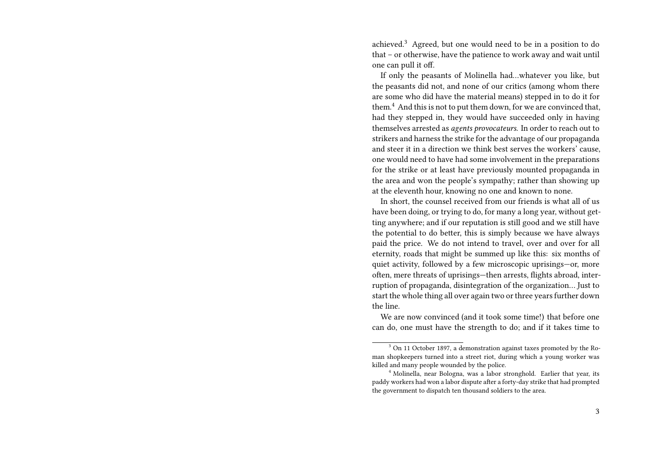achieved.<sup>3</sup> Agreed, but one would need to be in a position to do that – or otherwise, have the patience to work away and wait until one can pull it off.

If only the peasants of Molinella had…whatever you like, but the peasants did not, and none of our critics (among whom there are some who did have the material means) stepped in to do it for them.<sup>4</sup> And this is not to put them down, for we are convinced that, had they stepped in, they would have succeeded only in having themselves arrested as *agents provocateurs*. In order to reach out to strikers and harness the strike for the advantage of our propaganda and steer it in a direction we think best serves the workers' cause, one would need to have had some involvement in the preparations for the strike or at least have previously mounted propaganda in the area and won the people's sympathy; rather than showing up at the eleventh hour, knowing no one and known to none.

In short, the counsel received from our friends is what all of us have been doing, or trying to do, for many a long year, without getting anywhere; and if our reputation is still good and we still have the potential to do better, this is simply because we have always paid the price. We do not intend to travel, over and over for all eternity, roads that might be summed up like this: six months of quiet activity, followed by a few microscopic uprisings—or, more often, mere threats of uprisings—then arrests, flights abroad, interruption of propaganda, disintegration of the organization… Just to start the whole thing all over again two or three years further down the line.

We are now convinced (and it took some time!) that before one can do, one must have the strength to do; and if it takes time to

<sup>3</sup> On 11 October 1897, a demonstration against taxes promoted by the Roman shopkeepers turned into a street riot, during which a young worker was killed and many people wounded by the police.

<sup>&</sup>lt;sup>4</sup> Molinella, near Bologna, was a labor stronghold. Earlier that year, its paddy workers had won a labor dispute after a forty-day strike that had prompted the government to dispatch ten thousand soldiers to the area.